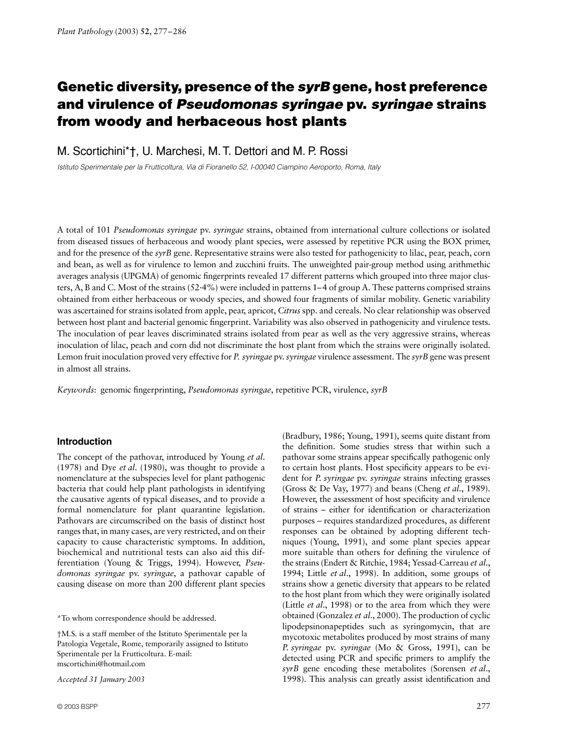# Genetic diversity, presence of the *syrB* gene, host preference **and virulence of** *Pseudomonas syringae* **pv.** *syringae* **strains from woody and herbaceous host plants**

M. Scortichini\*†, U. Marchesi, M. T. Dettori and M. P. Rossi

*Istituto Sperimentale per la Frutticoltura, Via di Fioranello 52, I-00040 Ciampino Aeroporto, Roma, Italy* 

A total of 101 *Pseudomonas syringae* pv. *syringae* strains, obtained from international culture collections or isolated from diseased tissues of herbaceous and woody plant species, were assessed by repetitive PCR using the BOX primer, and for the presence of the *syrB* gene. Representative strains were also tested for pathogenicity to lilac, pear, peach, corn and bean, as well as for virulence to lemon and zucchini fruits. The unweighted pair-group method using arithmethic averages analysis (UPGMA) of genomic fingerprints revealed 17 different patterns which grouped into three major clusters, A, B and C. Most of the strains (52·4%) were included in patterns 1–4 of group A. These patterns comprised strains obtained from either herbaceous or woody species, and showed four fragments of similar mobility. Genetic variability was ascertained for strains isolated from apple, pear, apricot, *Citrus* spp. and cereals. No clear relationship was observed between host plant and bacterial genomic fingerprint. Variability was also observed in pathogenicity and virulence tests. The inoculation of pear leaves discriminated strains isolated from pear as well as the very aggressive strains, whereas inoculation of lilac, peach and corn did not discriminate the host plant from which the strains were originally isolated. Lemon fruit inoculation proved very effective for *P. syringae* pv. *syringae* virulence assessment. The *syrB* gene was present in almost all strains.

*Keywords*: genomic fingerprinting, *Pseudomonas syringae*, repetitive PCR, virulence, *syrB*

# **Introduction**

The concept of the pathovar, introduced by Young *et al*. (1978) and Dye *et al*. (1980), was thought to provide a nomenclature at the subspecies level for plant pathogenic bacteria that could help plant pathologists in identifying the causative agents of typical diseases, and to provide a formal nomenclature for plant quarantine legislation. Pathovars are circumscribed on the basis of distinct host ranges that, in many cases, are very restricted, and on their capacity to cause characteristic symptoms. In addition, biochemical and nutritional tests can also aid this differentiation (Young & Triggs, 1994). However, *Pseudomonas syringae* pv. *syringae*, a pathovar capable of causing disease on more than 200 different plant species

\*To whom correspondence should be addressed.

†M.S. is a staff member of the Istituto Sperimentale per la Patologia Vegetale, Rome, temporarily assigned to Istituto Sperimentale per la Frutticoltura. E-mail: mscortichini@hotmail.com

*Accepted 31 January 2003*

(Bradbury, 1986; Young, 1991), seems quite distant from the definition. Some studies stress that within such a pathovar some strains appear specifically pathogenic only to certain host plants. Host specificity appears to be evident for *P. syringae* pv. *syringae* strains infecting grasses (Gross & De Vay, 1977) and beans (Cheng *et al*., 1989). However, the assessment of host specificity and virulence of strains – either for identification or characterization purposes – requires standardized procedures, as different responses can be obtained by adopting different techniques (Young, 1991), and some plant species appear more suitable than others for defining the virulence of the strains (Endert & Ritchie, 1984; Yessad-Carreau *et al*., 1994; Little *et al*., 1998). In addition, some groups of strains show a genetic diversity that appears to be related to the host plant from which they were originally isolated (Little *et al*., 1998) or to the area from which they were obtained (Gonzalez *et al*., 2000). The production of cyclic lipodepsinonapeptides such as syringomycin, that are mycotoxic metabolites produced by most strains of many *P. syringae* pv. *syringae* (Mo & Gross, 1991), can be detected using PCR and specific primers to amplify the *syrB* gene encoding these metabolites (Sorensen *et al*., 1998). This analysis can greatly assist identification and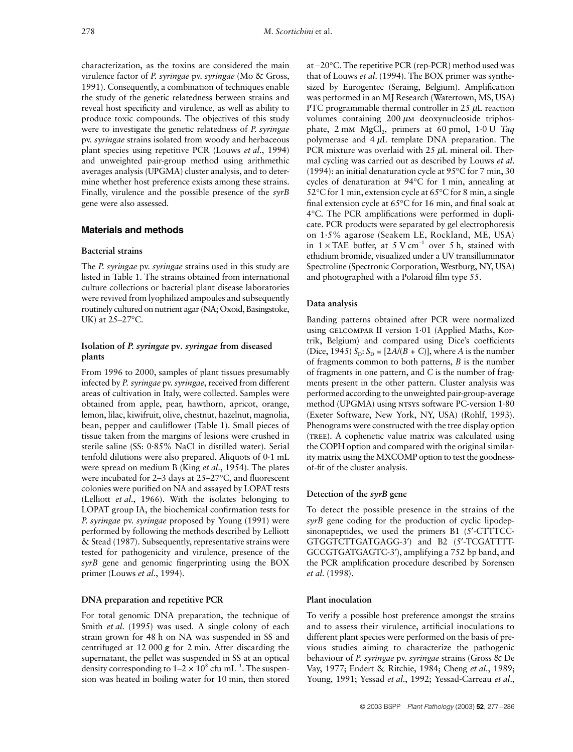characterization, as the toxins are considered the main virulence factor of *P. syringae* pv. *syringae* (Mo & Gross, 1991). Consequently, a combination of techniques enable the study of the genetic relatedness between strains and reveal host specificity and virulence, as well as ability to produce toxic compounds. The objectives of this study were to investigate the genetic relatedness of *P. syringae* pv. *syringae* strains isolated from woody and herbaceous plant species using repetitive PCR (Louws *et al*., 1994) and unweighted pair-group method using arithmethic averages analysis (UPGMA) cluster analysis, and to determine whether host preference exists among these strains. Finally, virulence and the possible presence of the *syrB* gene were also assessed.

## **Materials and methods**

#### **Bacterial strains**

The *P. syringae* pv. *syringae* strains used in this study are listed in Table 1. The strains obtained from international culture collections or bacterial plant disease laboratories were revived from lyophilized ampoules and subsequently routinely cultured on nutrient agar (NA; Oxoid, Basingstoke, UK) at 25–27°C.

# **Isolation of** *P. syringae* **pv***. syringae* **from diseased plants**

From 1996 to 2000, samples of plant tissues presumably infected by *P. syringae* pv. *syringae*, received from different areas of cultivation in Italy, were collected. Samples were obtained from apple, pear, hawthorn, apricot, orange, lemon, lilac, kiwifruit, olive, chestnut, hazelnut, magnolia, bean, pepper and cauliflower (Table 1). Small pieces of tissue taken from the margins of lesions were crushed in sterile saline (SS: 0·85% NaCl in distilled water). Serial tenfold dilutions were also prepared. Aliquots of 0·1 mL were spread on medium B (King *et al*., 1954). The plates were incubated for 2–3 days at 25–27°C, and fluorescent colonies were purified on NA and assayed by LOPAT tests (Lelliott *et al*., 1966). With the isolates belonging to LOPAT group IA, the biochemical confirmation tests for *P. syringae* pv. *syringae* proposed by Young (1991) were performed by following the methods described by Lelliott & Stead (1987). Subsequently, representative strains were tested for pathogenicity and virulence, presence of the *syrB* gene and genomic fingerprinting using the BOX primer (Louws *et al*., 1994).

#### **DNA preparation and repetitive PCR**

For total genomic DNA preparation, the technique of Smith *et al*. (1995) was used. A single colony of each strain grown for 48 h on NA was suspended in SS and centrifuged at 12 000 *g* for 2 min. After discarding the supernatant, the pellet was suspended in SS at an optical density corresponding to  $1-2 \times 10^8$  cfu mL<sup>-1</sup>. The suspension was heated in boiling water for 10 min, then stored at −20°C. The repetitive PCR (rep-PCR) method used was that of Louws *et al*. (1994). The BOX primer was synthesized by Eurogentec (Seraing, Belgium). Amplification was performed in an MJ Research (Watertown, MS, USA) PTC programmable thermal controller in 25  $\mu$ L reaction volumes containing  $200 \mu m$  deoxynucleoside triphosphate, 2 mm MgCl<sub>2</sub>, primers at 60 pmol, 1.0 U Taq polymerase and  $4 \mu L$  template DNA preparation. The PCR mixture was overlaid with 25 µL mineral oil. Thermal cycling was carried out as described by Louws *et al*. (1994): an initial denaturation cycle at 95°C for 7 min, 30 cycles of denaturation at 94°C for 1 min, annealing at 52°C for 1 min, extension cycle at 65°C for 8 min, a single final extension cycle at 65°C for 16 min, and final soak at 4°C. The PCR amplifications were performed in duplicate. PCR products were separated by gel electrophoresis on 1·5% agarose (Seakem LE, Rockland, ME, USA) in  $1 \times$  TAE buffer, at 5 V cm<sup>-1</sup> over 5 h, stained with ethidium bromide, visualized under a UV transilluminator Spectroline (Spectronic Corporation, Westburg, NY, USA) and photographed with a Polaroid film type 55.

#### **Data analysis**

Banding patterns obtained after PCR were normalized using gelcompar II version 1·01 (Applied Maths, Kortrik, Belgium) and compared using Dice's coefficients (Dice, 1945)  $S_p$ :  $S_p = [2A/(B+C)]$ , where *A* is the number of fragments common to both patterns, *B* is the number of fragments in one pattern, and *C* is the number of fragments present in the other pattern. Cluster analysis was performed according to the unweighted pair-group-average method (UPGMA) using NTSYS software PC-version 1.80 (Exeter Software, New York, NY, USA) (Rohlf, 1993). Phenograms were constructed with the tree display option (TREE). A cophenetic value matrix was calculated using the COPH option and compared with the original similarity matrix using the MXCOMP option to test the goodnessof-fit of the cluster analysis.

### **Detection of the** *syrB* **gene**

To detect the possible presence in the strains of the *syrB* gene coding for the production of cyclic lipodepsinonapeptides, we used the primers B1 (5'-CTTTCC-GTGGTCTTGATGAGG-3′) and B2 (5′-TCGATTTT-GCCGTGATGAGTC-3′), amplifying a 752 bp band, and the PCR amplification procedure described by Sorensen *et al*. (1998).

## **Plant inoculation**

To verify a possible host preference amongst the strains and to assess their virulence, artificial inoculations to different plant species were performed on the basis of previous studies aiming to characterize the pathogenic behaviour of *P. syringae* pv. *syringae* strains (Gross & De Vay, 1977; Endert & Ritchie, 1984; Cheng *et al*., 1989; Young, 1991; Yessad *et al*., 1992; Yessad-Carreau *et al*.,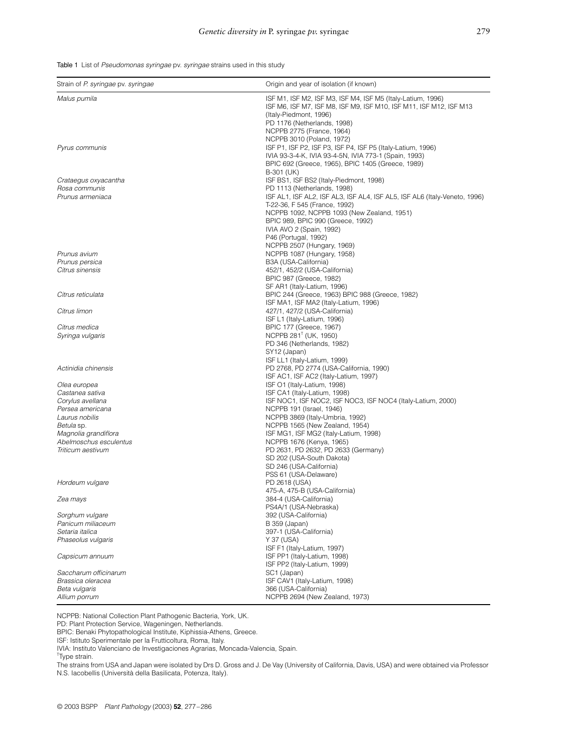Table 1 List of *Pseudomonas syringae* pv. *syringae* strains used in this study

| Strain of P. syringae pv. syringae                                                                                                                                             | Origin and year of isolation (if known)                                                                                                                                                                                                                                                                                                                                                                                                  |
|--------------------------------------------------------------------------------------------------------------------------------------------------------------------------------|------------------------------------------------------------------------------------------------------------------------------------------------------------------------------------------------------------------------------------------------------------------------------------------------------------------------------------------------------------------------------------------------------------------------------------------|
| Malus pumila                                                                                                                                                                   | ISF M1, ISF M2, ISF M3, ISF M4, ISF M5 (Italy-Latium, 1996)<br>ISF M6, ISF M7, ISF M8, ISF M9, ISF M10, ISF M11, ISF M12, ISF M13<br>(Italy-Piedmont, 1996)<br>PD 1176 (Netherlands, 1998)<br>NCPPB 2775 (France, 1964)                                                                                                                                                                                                                  |
| Pyrus communis                                                                                                                                                                 | NCPPB 3010 (Poland, 1972)<br>ISF P1, ISF P2, ISF P3, ISF P4, ISF P5 (Italy-Latium, 1996)<br>IVIA 93-3-4-K, IVIA 93-4-5N, IVIA 773-1 (Spain, 1993)<br>BPIC 692 (Greece, 1965), BPIC 1405 (Greece, 1989)                                                                                                                                                                                                                                   |
| Crataegus oxyacantha<br>Rosa communis<br>Prunus armeniaca                                                                                                                      | B-301 (UK)<br>ISF BS1, ISF BS2 (Italy-Piedmont, 1998)<br>PD 1113 (Netherlands, 1998)<br>ISF AL1, ISF AL2, ISF AL3, ISF AL4, ISF AL5, ISF AL6 (Italy-Veneto, 1996)<br>T-22-36, F 545 (France, 1992)<br>NCPPB 1092, NCPPB 1093 (New Zealand, 1951)<br>BPIC 989, BPIC 990 (Greece, 1992)<br>IVIA AVO 2 (Spain, 1992)                                                                                                                        |
| Prunus avium<br>Prunus persica<br>Citrus sinensis                                                                                                                              | P46 (Portugal, 1992)<br>NCPPB 2507 (Hungary, 1969)<br>NCPPB 1087 (Hungary, 1958)<br>B3A (USA-California)                                                                                                                                                                                                                                                                                                                                 |
| Citrus reticulata                                                                                                                                                              | 452/1, 452/2 (USA-California)<br>BPIC 987 (Greece, 1982)<br>SF AR1 (Italy-Latium, 1996)<br>BPIC 244 (Greece, 1963) BPIC 988 (Greece, 1982)                                                                                                                                                                                                                                                                                               |
| Citrus limon                                                                                                                                                                   | ISF MA1, ISF MA2 (Italy-Latium, 1996)<br>427/1, 427/2 (USA-California)                                                                                                                                                                                                                                                                                                                                                                   |
| Citrus medica<br>Syringa vulgaris                                                                                                                                              | ISF L1 (Italy-Latium, 1996)<br>BPIC 177 (Greece, 1967)<br>NCPPB 281 <sup>T</sup> (UK, 1950)<br>PD 346 (Netherlands, 1982)<br>SY12 (Japan)                                                                                                                                                                                                                                                                                                |
| Actinidia chinensis                                                                                                                                                            | ISF LL1 (Italy-Latium, 1999)<br>PD 2768, PD 2774 (USA-California, 1990)                                                                                                                                                                                                                                                                                                                                                                  |
| Olea europea<br>Castanea sativa<br>Corylus avellana<br>Persea americana<br>Laurus nobilis<br>Betula sp.<br>Magnolia grandiflora<br>Abelmoschus esculentus<br>Triticum aestivum | ISF AC1, ISF AC2 (Italy-Latium, 1997)<br>ISF O1 (Italy-Latium, 1998)<br>ISF CA1 (Italy-Latium, 1998)<br>ISF NOC1, ISF NOC2, ISF NOC3, ISF NOC4 (Italy-Latium, 2000)<br>NCPPB 191 (Israel, 1946)<br>NCPPB 3869 (Italy-Umbria, 1992)<br>NCPPB 1565 (New Zealand, 1954)<br>ISF MG1, ISF MG2 (Italy-Latium, 1998)<br>NCPPB 1676 (Kenya, 1965)<br>PD 2631, PD 2632, PD 2633 (Germany)<br>SD 202 (USA-South Dakota)<br>SD 246 (USA-California) |
| Hordeum vulgare                                                                                                                                                                | PSS 61 (USA-Delaware)<br>PD 2618 (USA)<br>475-A, 475-B (USA-California)                                                                                                                                                                                                                                                                                                                                                                  |
| Zea mays                                                                                                                                                                       | 384-4 (USA-California)<br>PS4A/1 (USA-Nebraska)                                                                                                                                                                                                                                                                                                                                                                                          |
| Sorghum vulgare<br>Panicum miliaceum<br>Setaria italica<br>Phaseolus vulgaris                                                                                                  | 392 (USA-California)<br>B 359 (Japan)<br>397-1 (USA-California)<br>Y 37 (USA)<br>ISF F1 (Italy-Latium, 1997)                                                                                                                                                                                                                                                                                                                             |
| Capsicum annuum                                                                                                                                                                | ISF PP1 (Italy-Latium, 1998)<br>ISF PP2 (Italy-Latium, 1999)                                                                                                                                                                                                                                                                                                                                                                             |
| Saccharum officinarum<br>Brassica oleracea<br>Beta vulgaris<br>Allium porrum                                                                                                   | SC1 (Japan)<br>ISF CAV1 (Italy-Latium, 1998)<br>366 (USA-California)<br>NCPPB 2694 (New Zealand, 1973)                                                                                                                                                                                                                                                                                                                                   |

NCPPB: National Collection Plant Pathogenic Bacteria, York, UK.

PD: Plant Protection Service, Wageningen, Netherlands.

BPIC: Benaki Phytopathological Institute, Kiphissia-Athens, Greece.

ISF: Istituto Sperimentale per la Frutticoltura, Roma, Italy.

IVIA: Instituto Valenciano de Investigaciones Agrarias, Moncada-Valencia, Spain.

<sup>T</sup>Type strain.

The strains from USA and Japan were isolated by Drs D. Gross and J. De Vay (University of California, Davis, USA) and were obtained via Professor N.S. Iacobellis (Università della Basilicata, Potenza, Italy).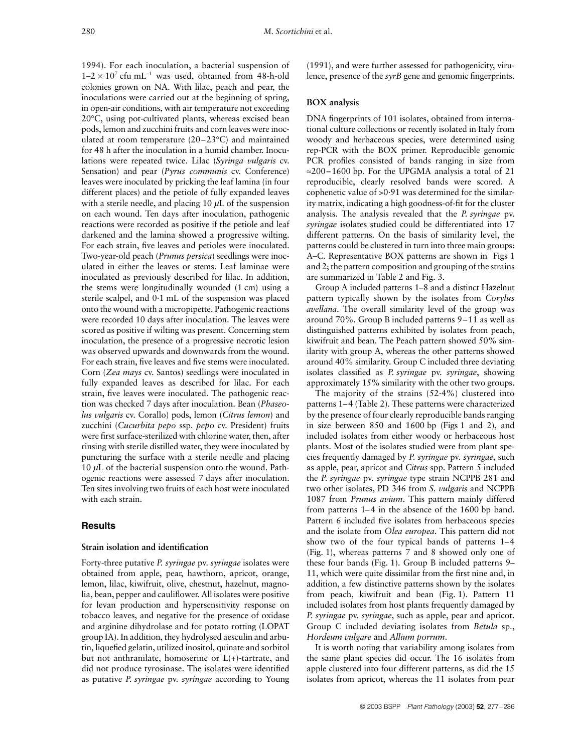1994). For each inoculation, a bacterial suspension of  $1-2 \times 10^7$  cfu mL<sup>-1</sup> was used, obtained from 48-h-old colonies grown on NA. With lilac, peach and pear, the inoculations were carried out at the beginning of spring, in open-air conditions, with air temperature not exceeding 20°C, using pot-cultivated plants, whereas excised bean pods, lemon and zucchini fruits and corn leaves were inoculated at room temperature (20–23°C) and maintained for 48 h after the inoculation in a humid chamber. Inoculations were repeated twice. Lilac (*Syringa vulgaris* cv. Sensation) and pear (*Pyrus communis* cv. Conference) leaves were inoculated by pricking the leaf lamina (in four different places) and the petiole of fully expanded leaves with a sterile needle, and placing  $10 \mu L$  of the suspension on each wound. Ten days after inoculation, pathogenic reactions were recorded as positive if the petiole and leaf darkened and the lamina showed a progressive wilting. For each strain, five leaves and petioles were inoculated. Two-year-old peach (*Prunus persica*) seedlings were inoculated in either the leaves or stems. Leaf laminae were inoculated as previously described for lilac. In addition, the stems were longitudinally wounded (1 cm) using a sterile scalpel, and 0·1 mL of the suspension was placed onto the wound with a micropipette. Pathogenic reactions were recorded 10 days after inoculation. The leaves were scored as positive if wilting was present. Concerning stem inoculation, the presence of a progressive necrotic lesion was observed upwards and downwards from the wound. For each strain, five leaves and five stems were inoculated. Corn (*Zea mays* cv. Santos) seedlings were inoculated in fully expanded leaves as described for lilac. For each strain, five leaves were inoculated. The pathogenic reaction was checked 7 days after inoculation. Bean (*Phaseolus vulgaris* cv. Corallo) pods, lemon (*Citrus lemon*) and zucchini (*Cucurbita pepo* ssp. *pepo* cv. President) fruits were first surface-sterilized with chlorine water, then, after rinsing with sterile distilled water, they were inoculated by puncturing the surface with a sterile needle and placing 10  $\mu$ L of the bacterial suspension onto the wound. Pathogenic reactions were assessed 7 days after inoculation. Ten sites involving two fruits of each host were inoculated with each strain.

# **Results**

#### **Strain isolation and identification**

Forty-three putative *P. syringae* pv. *syringae* isolates were obtained from apple, pear, hawthorn, apricot, orange, lemon, lilac, kiwifruit, olive, chestnut, hazelnut, magnolia, bean, pepper and cauliflower. All isolates were positive for levan production and hypersensitivity response on tobacco leaves, and negative for the presence of oxidase and arginine dihydrolase and for potato rotting (LOPAT group IA). In addition, they hydrolysed aesculin and arbutin, liquefied gelatin, utilized inositol, quinate and sorbitol but not anthranilate, homoserine or L(+)-tartrate, and did not produce tyrosinase. The isolates were identified as putative *P. syringae* pv. *syringae* according to Young (1991), and were further assessed for pathogenicity, virulence, presence of the *syrB* gene and genomic fingerprints.

#### **BOX analysis**

DNA fingerprints of 101 isolates, obtained from international culture collections or recently isolated in Italy from woody and herbaceous species, were determined using rep-PCR with the BOX primer. Reproducible genomic PCR profiles consisted of bands ranging in size from ≈200–1600 bp. For the UPGMA analysis a total of 21 reproducible, clearly resolved bands were scored. A cophenetic value of >0·91 was determined for the similarity matrix, indicating a high goodness-of-fit for the cluster analysis. The analysis revealed that the *P. syringae* pv. *syringae* isolates studied could be differentiated into 17 different patterns. On the basis of similarity level, the patterns could be clustered in turn into three main groups: A–C. Representative BOX patterns are shown in Figs 1 and 2; the pattern composition and grouping of the strains are summarized in Table 2 and Fig. 3.

Group A included patterns 1–8 and a distinct Hazelnut pattern typically shown by the isolates from *Corylus avellana*. The overall similarity level of the group was around 70%. Group B included patterns 9–11 as well as distinguished patterns exhibited by isolates from peach, kiwifruit and bean. The Peach pattern showed 50% similarity with group A, whereas the other patterns showed around 40% similarity. Group C included three deviating isolates classified as *P. syringae* pv. *syringae*, showing approximately 15% similarity with the other two groups.

The majority of the strains  $(52.4\%)$  clustered into patterns 1–4 (Table 2). These patterns were characterized by the presence of four clearly reproducible bands ranging in size between 850 and 1600 bp (Figs 1 and 2), and included isolates from either woody or herbaceous host plants. Most of the isolates studied were from plant species frequently damaged by *P. syringae* pv. *syringae*, such as apple, pear, apricot and *Citrus* spp. Pattern 5 included the *P. syringae* pv. *syringae* type strain NCPPB 281 and two other isolates, PD 346 from *S. vulgaris* and NCPPB 1087 from *Prunus avium*. This pattern mainly differed from patterns 1–4 in the absence of the 1600 bp band. Pattern 6 included five isolates from herbaceous species and the isolate from *Olea europea*. This pattern did not show two of the four typical bands of patterns 1–4 (Fig. 1), whereas patterns 7 and 8 showed only one of these four bands (Fig. 1). Group B included patterns 9– 11, which were quite dissimilar from the first nine and, in addition, a few distinctive patterns shown by the isolates from peach, kiwifruit and bean (Fig. 1). Pattern 11 included isolates from host plants frequently damaged by *P. syringae* pv. *syringae*, such as apple, pear and apricot. Group C included deviating isolates from *Betula* sp., *Hordeum vulgare* and *Allium porrum*.

It is worth noting that variability among isolates from the same plant species did occur. The 16 isolates from apple clustered into four different patterns, as did the 15 isolates from apricot, whereas the 11 isolates from pear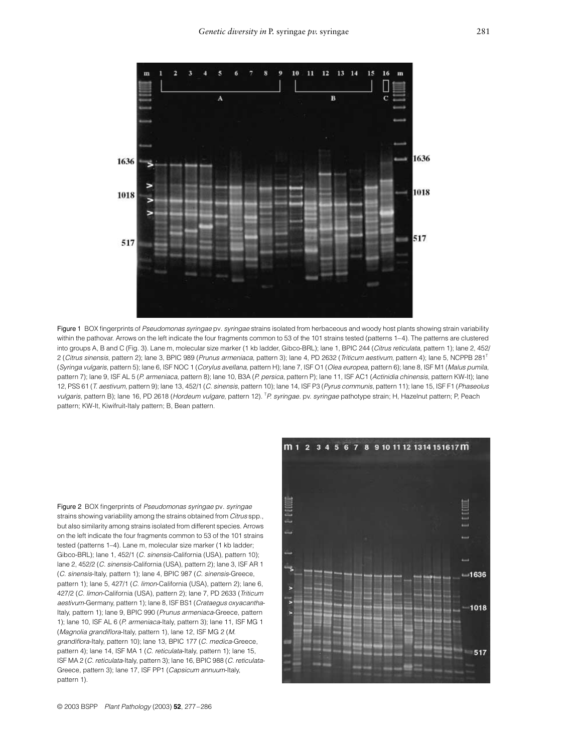

Figure 1 BOX fingerprints of *Pseudomonas syringae* pv*. syringae* strains isolated from herbaceous and woody host plants showing strain variability within the pathovar. Arrows on the left indicate the four fragments common to 53 of the 101 strains tested (patterns 1–4). The patterns are clustered into groups A, B and C (Fig. 3). Lane m, molecular size marker (1 kb ladder, Gibco-BRL); lane 1, BPIC 244 (*Citrus reticulata*, pattern 1); lane 2, 452/ 2 (*Citrus sinensis*, pattern 2); lane 3, BPIC 989 (*Prunus armeniaca*, pattern 3); lane 4, PD 2632 (*Triticum aestivum*, pattern 4); lane 5, NCPPB 281T (*Syringa vulgaris*, pattern 5); lane 6, ISF NOC 1 (*Corylus avellana*, pattern H); lane 7, ISF O1 (*Olea europea*, pattern 6); lane 8, ISF M1 (*Malus pumila*, pattern 7); lane 9, ISF AL 5 (*P. armeniaca*, pattern 8); lane 10, B3A (*P. persica*, pattern P); lane 11, ISF AC1 (*Actinidia chinensis*, pattern KW-It); lane 12, PSS 61 (*T. aestivum*, pattern 9); lane 13, 452/1 (*C. sinensis*, pattern 10); lane 14, ISF P3 (*Pyrus communis*, pattern 11); lane 15, ISF F1 (*Phaseolus*  vulgaris, pattern B); lane 16, PD 2618 (Hordeum vulgare, pattern 12). <sup>T</sup>P. syringae. pv. syringae pathotype strain; H, Hazelnut pattern; P, Peach pattern; KW-It, Kiwifruit-Italy pattern; B, Bean pattern.

Figure 2 BOX fingerprints of *Pseudomonas syringae* pv*. syringae* strains showing variability among the strains obtained from *Citrus* spp., but also similarity among strains isolated from different species. Arrows on the left indicate the four fragments common to 53 of the 101 strains tested (patterns 1–4). Lane m, molecular size marker (1 kb ladder; Gibco-BRL); lane 1, 452/1 (*C. sinensis*-California (USA), pattern 10); lane 2, 452/2 (*C. sinensis*-California (USA), pattern 2); lane 3, ISF AR 1 (*C. sinensis*-Italy, pattern 1); lane 4, BPIC 987 (*C. sinensis*-Greece, pattern 1); lane 5, 427/1 (*C. limon*-California (USA), pattern 2); lane 6, 427/2 (*C. limon*-California (USA), pattern 2); lane 7, PD 2633 (*Triticum aestivum*-Germany, pattern 1); lane 8, ISF BS1 (*Crataegus oxyacantha*-Italy, pattern 1); lane 9, BPIC 990 (*Prunus armeniaca*-Greece, pattern 1); lane 10, ISF AL 6 (*P. armeniaca*-Italy, pattern 3); lane 11, ISF MG 1 (*Magnolia grandiflora*-Italy, pattern 1), lane 12, ISF MG 2 (*M. grandiflora*-Italy, pattern 10); lane 13, BPIC 177 (*C. medica*-Greece, pattern 4); lane 14, ISF MA 1 (*C. reticulata*-Italy, pattern 1); lane 15, ISF MA 2 (*C. reticulata*-Italy, pattern 3); lane 16, BPIC 988 (*C. reticulata*-Greece, pattern 3); lane 17, ISF PP1 (*Capsicum annuum*-Italy, pattern 1).

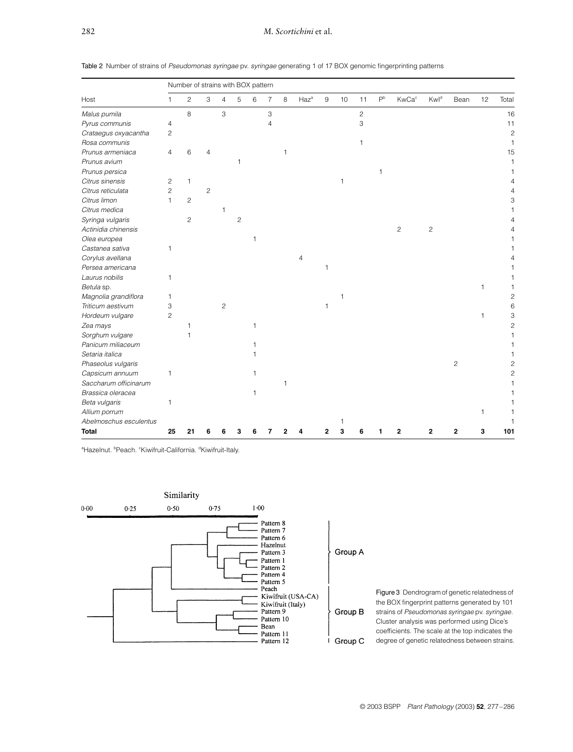| Table 2 Number of strains of Pseudomonas syringae pv. syringae generating 1 of 17 BOX genomic fingerprinting patterns |  |  |
|-----------------------------------------------------------------------------------------------------------------------|--|--|
|-----------------------------------------------------------------------------------------------------------------------|--|--|

| Host                   | Number of strains with BOX pattern |                |                |                |                |   |                |   |         |     |    |                |                |                          |                |                |              |                |
|------------------------|------------------------------------|----------------|----------------|----------------|----------------|---|----------------|---|---------|-----|----|----------------|----------------|--------------------------|----------------|----------------|--------------|----------------|
|                        | $\mathbf{1}$                       | $\overline{c}$ | 3              | $\overline{4}$ | 5              | 6 | $\overline{7}$ | 8 | $Haz^a$ | $9$ | 10 | 11             | P <sup>b</sup> | <b>KwCa</b> <sup>c</sup> | Kwld           | Bean           | 12           | Total          |
| Malus pumila           |                                    | 8              |                | 3              |                |   | 3              |   |         |     |    | $\overline{c}$ |                |                          |                |                |              | 16             |
| Pyrus communis         | 4                                  |                |                |                |                |   | 4              |   |         |     |    | 3              |                |                          |                |                |              | 11             |
| Crataegus oxyacantha   | 2                                  |                |                |                |                |   |                |   |         |     |    |                |                |                          |                |                |              | $\overline{c}$ |
| Rosa communis          |                                    |                |                |                |                |   |                |   |         |     |    | 1              |                |                          |                |                |              | 1              |
| Prunus armeniaca       | 4                                  | 6              | 4              |                |                |   |                | 1 |         |     |    |                |                |                          |                |                |              | 15             |
| Prunus avium           |                                    |                |                |                | 1              |   |                |   |         |     |    |                |                |                          |                |                |              | 1              |
| Prunus persica         |                                    |                |                |                |                |   |                |   |         |     |    |                | 1              |                          |                |                |              |                |
| Citrus sinensis        | 2                                  | 1              |                |                |                |   |                |   |         |     | 1  |                |                |                          |                |                |              |                |
| Citrus reticulata      | $\overline{c}$                     |                | $\overline{c}$ |                |                |   |                |   |         |     |    |                |                |                          |                |                |              |                |
| Citrus limon           | 1                                  | $\overline{c}$ |                |                |                |   |                |   |         |     |    |                |                |                          |                |                |              | 3              |
| Citrus medica          |                                    |                |                | 1              |                |   |                |   |         |     |    |                |                |                          |                |                |              |                |
| Syringa vulgaris       |                                    | $\overline{c}$ |                |                | $\overline{c}$ |   |                |   |         |     |    |                |                |                          |                |                |              |                |
| Actinidia chinensis    |                                    |                |                |                |                |   |                |   |         |     |    |                |                | $\overline{c}$           | $\overline{c}$ |                |              |                |
| Olea europea           |                                    |                |                |                |                | 1 |                |   |         |     |    |                |                |                          |                |                |              |                |
| Castanea sativa        | 1                                  |                |                |                |                |   |                |   |         |     |    |                |                |                          |                |                |              |                |
| Corylus avellana       |                                    |                |                |                |                |   |                |   | 4       |     |    |                |                |                          |                |                |              |                |
| Persea americana       |                                    |                |                |                |                |   |                |   |         | 1   |    |                |                |                          |                |                |              |                |
| Laurus nobilis         | 1                                  |                |                |                |                |   |                |   |         |     |    |                |                |                          |                |                |              |                |
| Betula sp.             |                                    |                |                |                |                |   |                |   |         |     |    |                |                |                          |                |                | $\mathbf{1}$ |                |
| Magnolia grandiflora   | 1                                  |                |                |                |                |   |                |   |         |     | 1  |                |                |                          |                |                |              | $\overline{c}$ |
| Triticum aestivum      | 3                                  |                |                | $\overline{c}$ |                |   |                |   |         | 1   |    |                |                |                          |                |                |              | 6              |
| Hordeum vulgare        | $\overline{c}$                     |                |                |                |                |   |                |   |         |     |    |                |                |                          |                |                | 1            | 3              |
| Zea mays               |                                    | 1              |                |                |                | 1 |                |   |         |     |    |                |                |                          |                |                |              | $\overline{c}$ |
| Sorghum vulgare        |                                    |                |                |                |                |   |                |   |         |     |    |                |                |                          |                |                |              |                |
| Panicum miliaceum      |                                    |                |                |                |                |   |                |   |         |     |    |                |                |                          |                |                |              |                |
| Setaria italica        |                                    |                |                |                |                |   |                |   |         |     |    |                |                |                          |                |                |              |                |
| Phaseolus vulgaris     |                                    |                |                |                |                |   |                |   |         |     |    |                |                |                          |                | $\overline{c}$ |              | 2              |
| Capsicum annuum        | 1                                  |                |                |                |                | 1 |                |   |         |     |    |                |                |                          |                |                |              | $\overline{c}$ |
| Saccharum officinarum  |                                    |                |                |                |                |   |                | 1 |         |     |    |                |                |                          |                |                |              |                |
| Brassica oleracea      |                                    |                |                |                |                | 1 |                |   |         |     |    |                |                |                          |                |                |              |                |
| Beta vulgaris          | 1                                  |                |                |                |                |   |                |   |         |     |    |                |                |                          |                |                |              |                |
| Allium porrum          |                                    |                |                |                |                |   |                |   |         |     |    |                |                |                          |                |                | 1            |                |
| Abelmoschus esculentus |                                    |                |                |                |                |   |                |   |         |     |    |                |                |                          |                |                |              |                |
| <b>Total</b>           | 25                                 | 21             |                |                |                |   |                |   |         |     |    |                |                | $\mathbf 2$              | 2              | $\mathbf 2$    | 3            | 101            |

<sup>a</sup>Hazelnut. <sup>b</sup>Peach. <sup>c</sup>Kiwifruit-California. <sup>d</sup>Kiwifruit-Italy.



Group A

Figure 3 Dendrogram of genetic relatedness of the BOX fingerprint patterns generated by 101 strains of *Pseudomonas syringae* pv. *syringae.* Cluster analysis was performed using Dice's coefficients. The scale at the top indicates the degree of genetic relatedness between strains.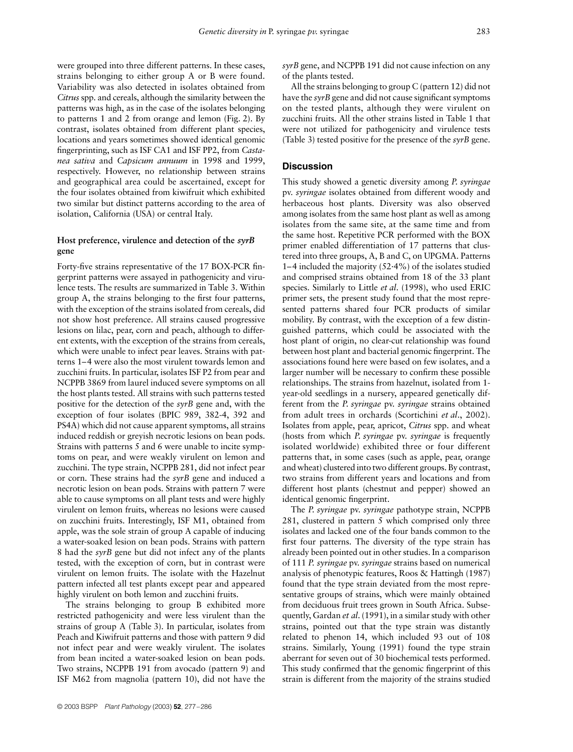were grouped into three different patterns. In these cases, strains belonging to either group A or B were found. Variability was also detected in isolates obtained from *Citrus*spp. and cereals, although the similarity between the patterns was high, as in the case of the isolates belonging to patterns 1 and 2 from orange and lemon (Fig. 2). By contrast, isolates obtained from different plant species, locations and years sometimes showed identical genomic fingerprinting, such as ISF CA1 and ISF PP2, from *Castanea sativa* and *Capsicum annuum* in 1998 and 1999, respectively. However, no relationship between strains and geographical area could be ascertained, except for the four isolates obtained from kiwifruit which exhibited two similar but distinct patterns according to the area of isolation, California (USA) or central Italy.

# **Host preference, virulence and detection of the** *syrB* **gene**

Forty-five strains representative of the 17 BOX-PCR fingerprint patterns were assayed in pathogenicity and virulence tests. The results are summarized in Table 3. Within group A, the strains belonging to the first four patterns, with the exception of the strains isolated from cereals, did not show host preference. All strains caused progressive lesions on lilac, pear, corn and peach, although to different extents, with the exception of the strains from cereals, which were unable to infect pear leaves. Strains with patterns 1–4 were also the most virulent towards lemon and zucchini fruits. In particular, isolates ISF P2 from pear and NCPPB 3869 from laurel induced severe symptoms on all the host plants tested. All strains with such patterns tested positive for the detection of the *syrB* gene and, with the exception of four isolates (BPIC 989, 382-4, 392 and PS4A) which did not cause apparent symptoms, all strains induced reddish or greyish necrotic lesions on bean pods. Strains with patterns 5 and 6 were unable to incite symptoms on pear, and were weakly virulent on lemon and zucchini. The type strain, NCPPB 281, did not infect pear or corn. These strains had the *syrB* gene and induced a necrotic lesion on bean pods. Strains with pattern 7 were able to cause symptoms on all plant tests and were highly virulent on lemon fruits, whereas no lesions were caused on zucchini fruits. Interestingly, ISF M1, obtained from apple, was the sole strain of group A capable of inducing a water-soaked lesion on bean pods. Strains with pattern 8 had the *syrB* gene but did not infect any of the plants tested, with the exception of corn, but in contrast were virulent on lemon fruits. The isolate with the Hazelnut pattern infected all test plants except pear and appeared highly virulent on both lemon and zucchini fruits.

The strains belonging to group B exhibited more restricted pathogenicity and were less virulent than the strains of group A (Table 3). In particular, isolates from Peach and Kiwifruit patterns and those with pattern 9 did not infect pear and were weakly virulent. The isolates from bean incited a water-soaked lesion on bean pods. Two strains, NCPPB 191 from avocado (pattern 9) and ISF M62 from magnolia (pattern 10), did not have the *syrB* gene, and NCPPB 191 did not cause infection on any of the plants tested.

All the strains belonging to group C (pattern 12) did not have the *syrB* gene and did not cause significant symptoms on the tested plants, although they were virulent on zucchini fruits. All the other strains listed in Table 1 that were not utilized for pathogenicity and virulence tests (Table 3) tested positive for the presence of the *syrB* gene.

# **Discussion**

This study showed a genetic diversity among *P. syringae* pv. *syringae* isolates obtained from different woody and herbaceous host plants. Diversity was also observed among isolates from the same host plant as well as among isolates from the same site, at the same time and from the same host. Repetitive PCR performed with the BOX primer enabled differentiation of 17 patterns that clustered into three groups, A, B and C, on UPGMA. Patterns 1–4 included the majority (52·4%) of the isolates studied and comprised strains obtained from 18 of the 33 plant species. Similarly to Little *et al*. (1998), who used ERIC primer sets, the present study found that the most represented patterns shared four PCR products of similar mobility. By contrast, with the exception of a few distinguished patterns, which could be associated with the host plant of origin, no clear-cut relationship was found between host plant and bacterial genomic fingerprint. The associations found here were based on few isolates, and a larger number will be necessary to confirm these possible relationships. The strains from hazelnut, isolated from 1 year-old seedlings in a nursery, appeared genetically different from the *P. syringae* pv. *syringae* strains obtained from adult trees in orchards (Scortichini *et al*., 2002). Isolates from apple, pear, apricot, *Citrus* spp. and wheat (hosts from which *P. syringae* pv. *syringae* is frequently isolated worldwide) exhibited three or four different patterns that, in some cases (such as apple, pear, orange and wheat) clustered into two different groups. By contrast, two strains from different years and locations and from different host plants (chestnut and pepper) showed an identical genomic fingerprint.

The *P. syringae* pv. *syringae* pathotype strain, NCPPB 281, clustered in pattern 5 which comprised only three isolates and lacked one of the four bands common to the first four patterns. The diversity of the type strain has already been pointed out in other studies. In a comparison of 111 *P. syringae* pv. *syringae* strains based on numerical analysis of phenotypic features, Roos & Hattingh (1987) found that the type strain deviated from the most representative groups of strains, which were mainly obtained from deciduous fruit trees grown in South Africa. Subsequently, Gardan *et al*. (1991), in a similar study with other strains, pointed out that the type strain was distantly related to phenon 14, which included 93 out of 108 strains. Similarly, Young (1991) found the type strain aberrant for seven out of 30 biochemical tests performed. This study confirmed that the genomic fingerprint of this strain is different from the majority of the strains studied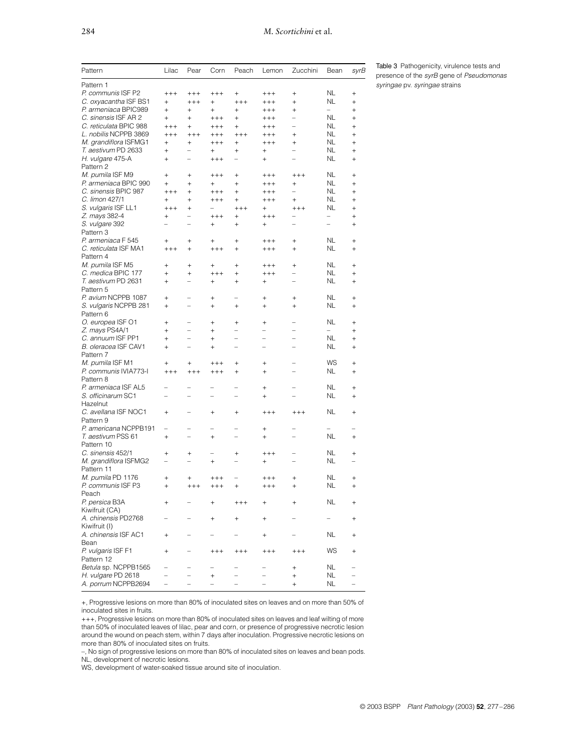| Pattern                       | Lilac                    | Pear                     | Corn                     | Peach                            | Lemon                    | Zucchini                 | Bean                     | syrB      |
|-------------------------------|--------------------------|--------------------------|--------------------------|----------------------------------|--------------------------|--------------------------|--------------------------|-----------|
| Pattern 1                     |                          |                          |                          |                                  |                          |                          |                          |           |
| P. communis ISF P2            | $+++$                    | $++++$                   | $++++$                   | $^{+}$                           | $++++$                   | $^{+}$                   | NL                       | $^{+}$    |
| C. oxyacantha ISF BS1         | $^{+}$                   | $++++$                   | $^{+}$                   | $++++$                           | $++++$                   | $^{+}$                   | <b>NL</b>                | $\ddot{}$ |
| P. armeniaca BPIC989          | $^{+}$                   | $^{+}$                   | $\ddot{}$                | $+$                              | $++++$                   | $+$                      | $\overline{\phantom{0}}$ | $\ddot{}$ |
| C. sinensis ISF AR 2          | $^{+}$                   | $^{+}$                   | $++++$                   | $\begin{array}{c} + \end{array}$ |                          | $\overline{a}$           | NL                       | $^{+}$    |
|                               |                          |                          |                          |                                  | $^{+++}$                 | $\overline{a}$           | NL                       |           |
| C. reticulata BPIC 988        | $++++$                   | $^{+}$                   | $++++$                   | $+$                              | $++++$                   |                          |                          | $\ddot{}$ |
| L. nobilis NCPPB 3869         | $++++$                   | $++++$                   | $++++$                   | $+++$                            | $++++$                   | $+$                      | NL                       | $\ddot{}$ |
| M. grandiflora ISFMG1         | $^{+}$                   | $^{+}$                   | $++++$                   | $\! + \!\!\!\!$                  | $++++$                   | $^{+}$                   | NL                       | $\ddot{}$ |
| T. aestivum PD 2633           | $^{+}$                   | $\overline{a}$           | $\ddot{}$                | $^{+}$                           | $^{+}$                   | $\overline{\phantom{0}}$ | NL.                      | $\ddot{}$ |
| H. vulgare 475-A<br>Pattern 2 | $^{+}$                   | $\overline{\phantom{0}}$ | $++++$                   | $\overline{a}$                   | $^{+}$                   |                          | NL                       | $\ddot{}$ |
| M. pumila ISF M9              | $^{+}$                   | $^{+}$                   | $++++$                   | $^{+}$                           | $++++$                   | $++++$                   | NL                       | $\ddot{}$ |
| P. armeniaca BPIC 990         | $^{+}$                   | $^{+}$                   | $^{+}$                   | $+$                              | $^{+++}$                 | $^{+}$                   | NL                       | $\ddot{}$ |
| C. sinensis BPIC 987          | $+++$                    | $^{+}$                   | $++++$                   | $^{+}$                           | $^{+++}$                 | $\overline{\phantom{0}}$ | ΝL                       | $\ddot{}$ |
| C. limon 427/1                | $^{+}$                   | $^{+}$                   | $++++$                   | $^{+}$                           | $++++$                   | $^{+}$                   | NL                       | $^{+}$    |
| S. vulgaris ISF LL1           | $+++$                    | $+$                      |                          | $+++$                            | $+$                      | $++++$                   | NL                       | $\ddot{}$ |
| Z. mays 382-4                 | $^{+}$                   | $\overline{a}$           | $++++$                   | $^{+}$                           | $^{+++}$                 | $\overline{\phantom{a}}$ | $\overline{\phantom{0}}$ | $+$       |
| S. vulgare 392                | $\overline{\phantom{0}}$ |                          | $^{+}$                   | $^{+}$                           | $^{+}$                   |                          | $\overline{\phantom{0}}$ | $\ddot{}$ |
| Pattern 3                     |                          |                          |                          |                                  |                          |                          |                          |           |
| P. armeniaca F 545            | $^{+}$                   | $^{+}$                   | $\ddot{}$                | $^{+}$                           | $^{+++}$                 | $^{+}$                   | NL                       | $+$       |
| C. reticulata ISF MA1         | $++++$                   | $^{+}$                   | $++++$                   | $^{+}$                           | $++++$                   | $^{+}$                   | NL                       | $^{+}$    |
| Pattern 4                     |                          |                          |                          |                                  |                          |                          |                          |           |
| M. pumila ISF M5              | $^{+}$                   | $^{+}$                   | $^{+}$                   | $^{+}$                           | $+++$                    | $^{+}$                   | NL                       | $^{+}$    |
| C. medica BPIC 177            | $^{+}$                   | $^{+}$                   | $++++$                   | $^{+}$                           | $++++$                   | $\overline{a}$           | NL                       | $^{+}$    |
| T. aestivum PD 2631           | $^{+}$                   | $\overline{\phantom{0}}$ | $^{+}$                   | $+$                              | $^{+}$                   |                          | NL                       | $^{+}$    |
| Pattern 5                     |                          |                          |                          |                                  |                          |                          |                          |           |
| P. avium NCPPB 1087           | $^{+}$                   |                          | $^{+}$                   |                                  | $\! + \!\!\!\!$          | $^{+}$                   | NL                       | $+$       |
| S. vulgaris NCPPB 281         | $+$                      |                          | $^{+}$                   | $+$                              | $+$                      | $+$                      | NL                       | $+$       |
| Pattern 6                     |                          |                          |                          |                                  |                          |                          |                          |           |
|                               |                          |                          |                          |                                  |                          |                          | <b>NL</b>                |           |
| O. europea ISF O1             | $^{+}$                   |                          | $\ddot{}$                | $^{+}$                           | $^{+}$                   |                          |                          | $\ddot{}$ |
| Z. mays PS4A/1                | $\ddot{}$                | $\overline{\phantom{0}}$ | $\ddot{}$                | $\overline{\phantom{0}}$         | $\overline{\phantom{0}}$ | $\overline{\phantom{0}}$ | $\overline{\phantom{0}}$ | $\ddot{}$ |
| C. annuum ISF PP1             | $^{+}$                   | $\overline{\phantom{0}}$ | $^{+}$                   | $\overline{\phantom{a}}$         | $\overline{\phantom{0}}$ | $\overline{\phantom{a}}$ | NL                       | $^{+}$    |
| B. oleracea ISF CAV1          | $^{+}$                   |                          | $^{+}$                   |                                  |                          |                          | NL                       | $^{+}$    |
| Pattern 7                     |                          |                          |                          |                                  |                          |                          |                          |           |
| M. pumila ISF M1              | $+$                      | $+$                      | $+++$                    | $^{+}$                           | $^{+}$                   |                          | WS                       | $^{+}$    |
| P. communis IVIA773-I         | $++++$                   | $++++$                   | $++++$                   | $+$                              | $^{+}$                   | $\overline{\phantom{0}}$ | NL                       | $^{+}$    |
| Pattern 8                     |                          |                          |                          |                                  |                          |                          |                          |           |
| P. armeniaca ISF AL5          |                          | $\overline{\phantom{0}}$ |                          |                                  | $^{+}$                   | $\overline{\phantom{a}}$ | NL                       | $^{+}$    |
| S. officinarum SC1            |                          |                          |                          |                                  | $^{+}$                   |                          | NL                       | $\ddot{}$ |
| Hazelnut                      |                          |                          |                          |                                  |                          |                          |                          |           |
| C. avellana ISF NOC1          | $^{+}$                   |                          | $^{+}$                   | $^{+}$                           | $^{+++}$                 | $^{+++}$                 | <b>NL</b>                | $+$       |
| Pattern 9                     |                          |                          |                          |                                  |                          |                          |                          |           |
| P. americana NCPPB191         | $\overline{a}$           | $\overline{\phantom{0}}$ | $\overline{\phantom{0}}$ | $\overline{a}$                   | $^{+}$                   |                          | $\overline{a}$           |           |
| T. aestivum PSS 61            | $^{+}$                   | $\overline{a}$           | $^{+}$                   | $\overline{a}$                   | $^{+}$                   | $\overline{\phantom{0}}$ | NL                       | $^{+}$    |
| Pattern 10                    |                          |                          |                          |                                  |                          |                          |                          |           |
| C. sinensis 452/1             | $^{+}$                   | $^{+}$                   |                          | $^{+}$                           | $^{+++}$                 |                          | NL                       | $+$       |
|                               | $\overline{\phantom{0}}$ |                          |                          |                                  |                          |                          | NL                       |           |
| M. grandiflora ISFMG2         |                          |                          | $^{+}$                   |                                  | $^{+}$                   |                          |                          |           |
| Pattern 11                    |                          |                          |                          |                                  |                          |                          |                          |           |
| M. pumila PD 1176             | $^{+}$                   | $^{+}$                   | $++++$                   |                                  | $^{+++}$                 | $^{+}$                   | NL                       | $+$       |
| P. communis ISF P3            | $^{+}$                   | $++++$                   | $++++$                   | $+$                              | $++++$                   | $+$                      | NL                       | $+$       |
| Peach                         |                          |                          |                          |                                  |                          |                          |                          |           |
| P. persica B3A                | $^{+}$                   |                          |                          | $^{+++}$                         | $\hbox{ }$               | $\ddot{}$                | ΝL                       | $^{+}$    |
| Kiwifruit (CA)                |                          |                          |                          |                                  |                          |                          |                          |           |
| A. chinensis PD2768           |                          |                          | $^{+}$                   | $+$                              | $^{+}$                   |                          |                          | $^{+}$    |
| Kiwifruit (I)                 |                          |                          |                          |                                  |                          |                          |                          |           |
| A. chinensis ISF AC1          | $^{+}$                   |                          |                          |                                  | $^{+}$                   |                          | ΝL                       | $+$       |
| Bean                          |                          |                          |                          |                                  |                          |                          |                          |           |
| P. vulgaris ISF F1            | $^{+}$                   |                          | $^{+++}$                 | $++++$                           | $++++$                   | $++++$                   | WS                       | $+$       |
| Pattern 12                    |                          |                          |                          |                                  |                          |                          |                          |           |
| Betula sp. NCPPB1565          |                          |                          |                          |                                  |                          | $^{+}$                   | ΝL                       |           |
| H. vulgare PD 2618            |                          |                          | $^{+}$                   |                                  |                          | $^{+}$                   | NL                       |           |
| A. porrum NCPPB2694           |                          |                          |                          |                                  |                          | $^{+}$                   | ΝL                       |           |
|                               |                          |                          |                          |                                  |                          |                          |                          |           |

Table 3 Pathogenicity, virulence tests and presence of the *syrB* gene of *Pseudomonas syringae* pv. *syringae* strains

+, Progressive lesions on more than 80% of inoculated sites on leaves and on more than 50% of inoculated sites in fruits.

+++, Progressive lesions on more than 80% of inoculated sites on leaves and leaf wilting of more than 50% of inoculated leaves of lilac, pear and corn, or presence of progressive necrotic lesion around the wound on peach stem, within 7 days after inoculation. Progressive necrotic lesions on more than 80% of inoculated sites on fruits.

–, No sign of progressive lesions on more than 80% of inoculated sites on leaves and bean pods. NL, development of necrotic lesions.

WS, development of water-soaked tissue around site of inoculation.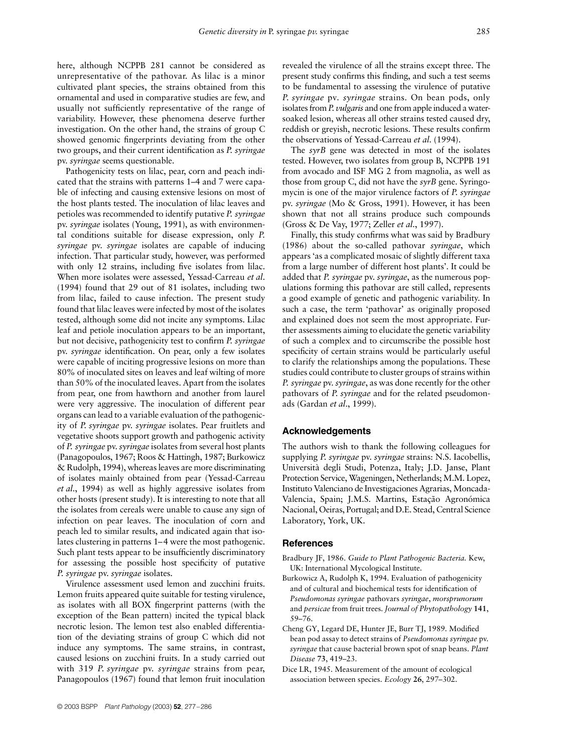here, although NCPPB 281 cannot be considered as unrepresentative of the pathovar. As lilac is a minor cultivated plant species, the strains obtained from this ornamental and used in comparative studies are few, and usually not sufficiently representative of the range of variability. However, these phenomena deserve further investigation. On the other hand, the strains of group C showed genomic fingerprints deviating from the other two groups, and their current identification as *P. syringae* pv. *syringae* seems questionable.

Pathogenicity tests on lilac, pear, corn and peach indicated that the strains with patterns 1–4 and 7 were capable of infecting and causing extensive lesions on most of the host plants tested. The inoculation of lilac leaves and petioles was recommended to identify putative *P. syringae* pv. *syringae* isolates (Young, 1991), as with environmental conditions suitable for disease expression, only *P. syringae* pv. *syringae* isolates are capable of inducing infection. That particular study, however, was performed with only 12 strains, including five isolates from lilac. When more isolates were assessed, Yessad-Carreau *et al*. (1994) found that 29 out of 81 isolates, including two from lilac, failed to cause infection. The present study found that lilac leaves were infected by most of the isolates tested, although some did not incite any symptoms. Lilac leaf and petiole inoculation appears to be an important, but not decisive, pathogenicity test to confirm *P. syringae* pv. *syringae* identification. On pear, only a few isolates were capable of inciting progressive lesions on more than 80% of inoculated sites on leaves and leaf wilting of more than 50% of the inoculated leaves. Apart from the isolates from pear, one from hawthorn and another from laurel were very aggressive. The inoculation of different pear organs can lead to a variable evaluation of the pathogenicity of *P. syringae* pv. *syringae* isolates. Pear fruitlets and vegetative shoots support growth and pathogenic activity of *P. syringae* pv. *syringae* isolates from several host plants (Panagopoulos, 1967; Roos & Hattingh, 1987; Burkowicz & Rudolph, 1994), whereas leaves are more discriminating of isolates mainly obtained from pear (Yessad-Carreau *et al*., 1994) as well as highly aggressive isolates from other hosts (present study). It is interesting to note that all the isolates from cereals were unable to cause any sign of infection on pear leaves. The inoculation of corn and peach led to similar results, and indicated again that isolates clustering in patterns 1–4 were the most pathogenic. Such plant tests appear to be insufficiently discriminatory for assessing the possible host specificity of putative *P. syringae* pv. *syringae* isolates.

Virulence assessment used lemon and zucchini fruits. Lemon fruits appeared quite suitable for testing virulence, as isolates with all BOX fingerprint patterns (with the exception of the Bean pattern) incited the typical black necrotic lesion. The lemon test also enabled differentiation of the deviating strains of group C which did not induce any symptoms. The same strains, in contrast, caused lesions on zucchini fruits. In a study carried out with 319 *P. syringae* pv. *syringae* strains from pear, Panagopoulos (1967) found that lemon fruit inoculation

revealed the virulence of all the strains except three. The present study confirms this finding, and such a test seems to be fundamental to assessing the virulence of putative *P. syringae* pv*. syringae* strains. On bean pods, only isolates from *P. vulgaris* and one from apple induced a watersoaked lesion, whereas all other strains tested caused dry, reddish or greyish, necrotic lesions. These results confirm the observations of Yessad-Carreau *et al*. (1994).

The *syrB* gene was detected in most of the isolates tested. However, two isolates from group B, NCPPB 191 from avocado and ISF MG 2 from magnolia, as well as those from group C, did not have the *syrB* gene. Syringomycin is one of the major virulence factors of *P. syringae* pv. *syringae* (Mo & Gross, 1991). However, it has been shown that not all strains produce such compounds (Gross & De Vay, 1977; Zeller *et al*., 1997).

Finally, this study confirms what was said by Bradbury (1986) about the so-called pathovar *syringae*, which appears 'as a complicated mosaic of slightly different taxa from a large number of different host plants'. It could be added that *P. syringae* pv. *syringae*, as the numerous populations forming this pathovar are still called, represents a good example of genetic and pathogenic variability. In such a case, the term 'pathovar' as originally proposed and explained does not seem the most appropriate. Further assessments aiming to elucidate the genetic variability of such a complex and to circumscribe the possible host specificity of certain strains would be particularly useful to clarify the relationships among the populations. These studies could contribute to cluster groups of strains within *P. syringae* pv. *syringae*, as was done recently for the other pathovars of *P. syringae* and for the related pseudomonads (Gardan *et al*., 1999).

#### **Acknowledgements**

The authors wish to thank the following colleagues for supplying *P. syringae* pv. *syringae* strains: N.S. Iacobellis, Università degli Studi, Potenza, Italy; J.D. Janse, Plant Protection Service, Wageningen, Netherlands; M.M. Lopez, Instituto Valenciano de Investigaciones Agrarias, Moncada-Valencia, Spain; J.M.S. Martins, Estação Agronómica Nacional, Oeiras, Portugal; and D.E. Stead, Central Science Laboratory, York, UK.

#### **References**

- Bradbury JF, 1986. *Guide to Plant Pathogenic Bacteria.* Kew, UK: International Mycological Institute.
- Burkowicz A, Rudolph K, 1994. Evaluation of pathogenicity and of cultural and biochemical tests for identification of *Pseudomonas syringae* pathovars *syringae*, *morsprunorum*  and *persicae* from fruit trees. *Journal of Phytopathology* **141**, 59–76.
- Cheng GY, Legard DE, Hunter JE, Burr TJ, 1989. Modified bean pod assay to detect strains of *Pseudomonas syringae* pv. *syringae* that cause bacterial brown spot of snap beans. *Plant Disease* **73**, 419–23.
- Dice LR, 1945. Measurement of the amount of ecological association between species. *Ecology* **26**, 297–302.